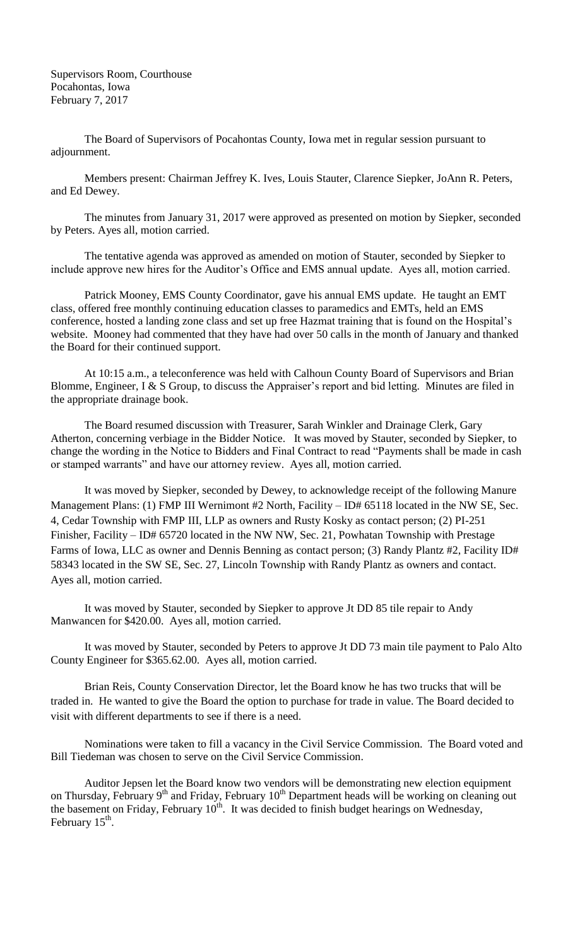Supervisors Room, Courthouse Pocahontas, Iowa February 7, 2017

The Board of Supervisors of Pocahontas County, Iowa met in regular session pursuant to adjournment.

Members present: Chairman Jeffrey K. Ives, Louis Stauter, Clarence Siepker, JoAnn R. Peters, and Ed Dewey.

The minutes from January 31, 2017 were approved as presented on motion by Siepker, seconded by Peters. Ayes all, motion carried.

The tentative agenda was approved as amended on motion of Stauter, seconded by Siepker to include approve new hires for the Auditor's Office and EMS annual update. Ayes all, motion carried.

Patrick Mooney, EMS County Coordinator, gave his annual EMS update. He taught an EMT class, offered free monthly continuing education classes to paramedics and EMTs, held an EMS conference, hosted a landing zone class and set up free Hazmat training that is found on the Hospital's website. Mooney had commented that they have had over 50 calls in the month of January and thanked the Board for their continued support.

At 10:15 a.m., a teleconference was held with Calhoun County Board of Supervisors and Brian Blomme, Engineer, I & S Group, to discuss the Appraiser's report and bid letting. Minutes are filed in the appropriate drainage book.

The Board resumed discussion with Treasurer, Sarah Winkler and Drainage Clerk, Gary Atherton, concerning verbiage in the Bidder Notice. It was moved by Stauter, seconded by Siepker, to change the wording in the Notice to Bidders and Final Contract to read "Payments shall be made in cash or stamped warrants" and have our attorney review. Ayes all, motion carried.

It was moved by Siepker, seconded by Dewey, to acknowledge receipt of the following Manure Management Plans: (1) FMP III Wernimont #2 North, Facility – ID# 65118 located in the NW SE, Sec. 4, Cedar Township with FMP III, LLP as owners and Rusty Kosky as contact person; (2) PI-251 Finisher, Facility – ID# 65720 located in the NW NW, Sec. 21, Powhatan Township with Prestage Farms of Iowa, LLC as owner and Dennis Benning as contact person; (3) Randy Plantz #2, Facility ID# 58343 located in the SW SE, Sec. 27, Lincoln Township with Randy Plantz as owners and contact. Ayes all, motion carried.

It was moved by Stauter, seconded by Siepker to approve Jt DD 85 tile repair to Andy Manwancen for \$420.00. Ayes all, motion carried.

It was moved by Stauter, seconded by Peters to approve Jt DD 73 main tile payment to Palo Alto County Engineer for \$365.62.00. Ayes all, motion carried.

Brian Reis, County Conservation Director, let the Board know he has two trucks that will be traded in. He wanted to give the Board the option to purchase for trade in value. The Board decided to visit with different departments to see if there is a need.

Nominations were taken to fill a vacancy in the Civil Service Commission. The Board voted and Bill Tiedeman was chosen to serve on the Civil Service Commission.

Auditor Jepsen let the Board know two vendors will be demonstrating new election equipment on Thursday, February 9<sup>th</sup> and Friday, February 10<sup>th</sup> Department heads will be working on cleaning out the basement on Friday, February  $10<sup>th</sup>$ . It was decided to finish budget hearings on Wednesday, February  $15^{\text{th}}$ .